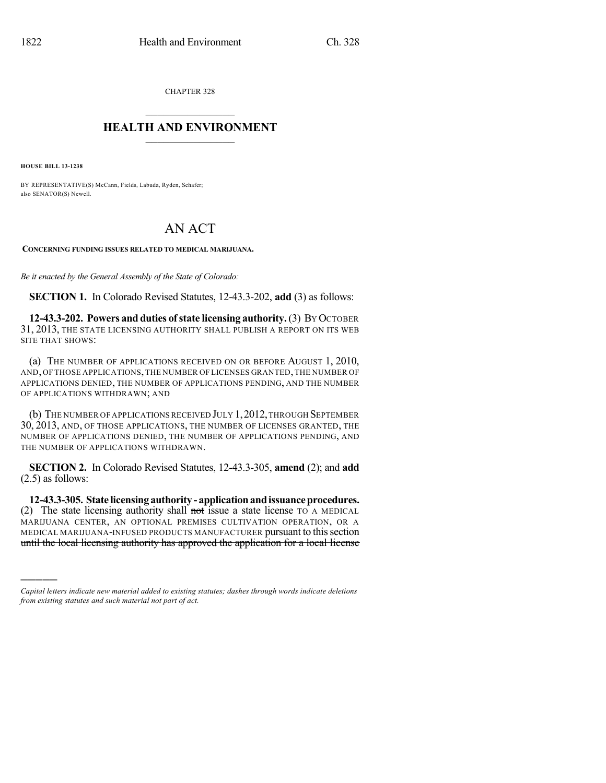CHAPTER 328

## $\overline{\phantom{a}}$  . The set of the set of the set of the set of the set of the set of the set of the set of the set of the set of the set of the set of the set of the set of the set of the set of the set of the set of the set o **HEALTH AND ENVIRONMENT**  $\_$

**HOUSE BILL 13-1238**

)))))

BY REPRESENTATIVE(S) McCann, Fields, Labuda, Ryden, Schafer; also SENATOR(S) Newell.

## AN ACT

**CONCERNING FUNDING ISSUES RELATED TO MEDICAL MARIJUANA.**

*Be it enacted by the General Assembly of the State of Colorado:*

**SECTION 1.** In Colorado Revised Statutes, 12-43.3-202, **add** (3) as follows:

**12-43.3-202. Powers and duties of state licensing authority.**(3) BY OCTOBER 31, 2013, THE STATE LICENSING AUTHORITY SHALL PUBLISH A REPORT ON ITS WEB SITE THAT SHOWS:

(a) THE NUMBER OF APPLICATIONS RECEIVED ON OR BEFORE AUGUST 1, 2010, AND, OF THOSE APPLICATIONS,THE NUMBER OF LICENSES GRANTED,THE NUMBER OF APPLICATIONS DENIED, THE NUMBER OF APPLICATIONS PENDING, AND THE NUMBER OF APPLICATIONS WITHDRAWN; AND

(b) THE NUMBER OF APPLICATIONSRECEIVED JULY 1,2012,THROUGH SEPTEMBER 30, 2013, AND, OF THOSE APPLICATIONS, THE NUMBER OF LICENSES GRANTED, THE NUMBER OF APPLICATIONS DENIED, THE NUMBER OF APPLICATIONS PENDING, AND THE NUMBER OF APPLICATIONS WITHDRAWN.

**SECTION 2.** In Colorado Revised Statutes, 12-43.3-305, **amend** (2); and **add** (2.5) as follows:

**12-43.3-305. State licensingauthority- applicationandissuanceprocedures.** (2) The state licensing authority shall not issue a state license TO A MEDICAL MARIJUANA CENTER, AN OPTIONAL PREMISES CULTIVATION OPERATION, OR A MEDICAL MARIJUANA-INFUSED PRODUCTS MANUFACTURER pursuant to thissection until the local licensing authority has approved the application for a local license

*Capital letters indicate new material added to existing statutes; dashes through words indicate deletions from existing statutes and such material not part of act.*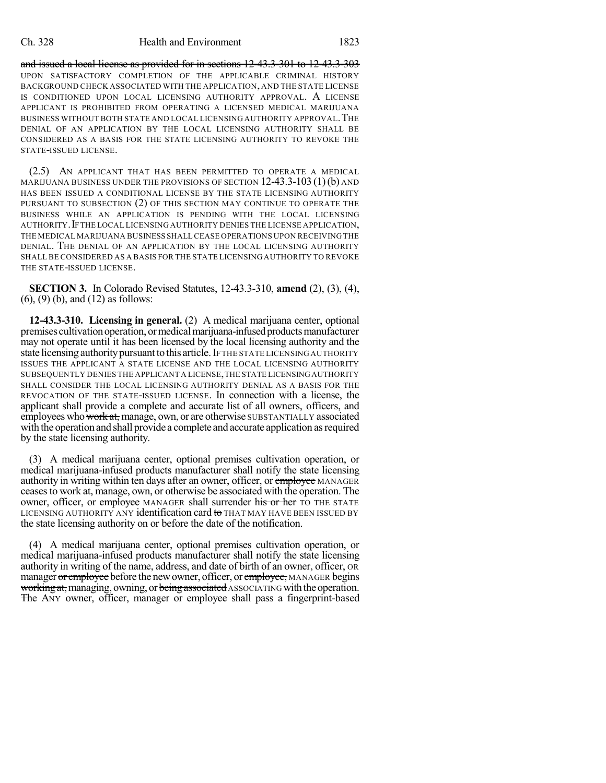and issued a local license as provided for in sections 12-43.3-301 to 12-43.3-303 UPON SATISFACTORY COMPLETION OF THE APPLICABLE CRIMINAL HISTORY BACKGROUND CHECK ASSOCIATED WITH THE APPLICATION, AND THE STATE LICENSE IS CONDITIONED UPON LOCAL LICENSING AUTHORITY APPROVAL. A LICENSE APPLICANT IS PROHIBITED FROM OPERATING A LICENSED MEDICAL MARIJUANA BUSINESS WITHOUT BOTH STATE AND LOCAL LICENSING AUTHORITY APPROVAL.THE DENIAL OF AN APPLICATION BY THE LOCAL LICENSING AUTHORITY SHALL BE CONSIDERED AS A BASIS FOR THE STATE LICENSING AUTHORITY TO REVOKE THE STATE-ISSUED LICENSE.

(2.5) AN APPLICANT THAT HAS BEEN PERMITTED TO OPERATE A MEDICAL MARIJUANA BUSINESS UNDER THE PROVISIONS OF SECTION  $12-43.3-103(1)$  (b) and HAS BEEN ISSUED A CONDITIONAL LICENSE BY THE STATE LICENSING AUTHORITY PURSUANT TO SUBSECTION (2) OF THIS SECTION MAY CONTINUE TO OPERATE THE BUSINESS WHILE AN APPLICATION IS PENDING WITH THE LOCAL LICENSING AUTHORITY.IFTHE LOCAL LICENSING AUTHORITY DENIES THE LICENSE APPLICATION, THE MEDICAL MARIJUANA BUSINESS SHALL CEASE OPERATIONS UPON RECEIVING THE DENIAL. THE DENIAL OF AN APPLICATION BY THE LOCAL LICENSING AUTHORITY SHALL BE CONSIDERED AS A BASIS FOR THE STATE LICENSING AUTHORITY TO REVOKE THE STATE-ISSUED LICENSE.

**SECTION 3.** In Colorado Revised Statutes, 12-43.3-310, **amend** (2), (3), (4), (6), (9) (b), and (12) as follows:

**12-43.3-310. Licensing in general.** (2) A medical marijuana center, optional premises cultivation operation, or medical marijuana-infused products manufacturer may not operate until it has been licensed by the local licensing authority and the state licensing authority pursuant to this article. IF THE STATE LICENSING AUTHORITY ISSUES THE APPLICANT A STATE LICENSE AND THE LOCAL LICENSING AUTHORITY SUBSEQUENTLY DENIES THE APPLICANT A LICENSE,THE STATE LICENSINGAUTHORITY SHALL CONSIDER THE LOCAL LICENSING AUTHORITY DENIAL AS A BASIS FOR THE REVOCATION OF THE STATE-ISSUED LICENSE. In connection with a license, the applicant shall provide a complete and accurate list of all owners, officers, and employees who work at, manage, own, or are otherwise SUBSTANTIALLY associated with the operation and shall provide a complete and accurate application asrequired by the state licensing authority.

(3) A medical marijuana center, optional premises cultivation operation, or medical marijuana-infused products manufacturer shall notify the state licensing authority in writing within ten days after an owner, officer, or employee MANAGER ceasesto work at, manage, own, or otherwise be associated with the operation. The owner, officer, or employee MANAGER shall surrender his or her TO THE STATE LICENSING AUTHORITY ANY identification card to THAT MAY HAVE BEEN ISSUED BY the state licensing authority on or before the date of the notification.

(4) A medical marijuana center, optional premises cultivation operation, or medical marijuana-infused products manufacturer shall notify the state licensing authority in writing of the name, address, and date of birth of an owner, officer, OR manager or employee before the new owner, officer, or employee, MANAGER begins working at, managing, owning, or being associated ASSOCIATING with the operation. The ANY owner, officer, manager or employee shall pass a fingerprint-based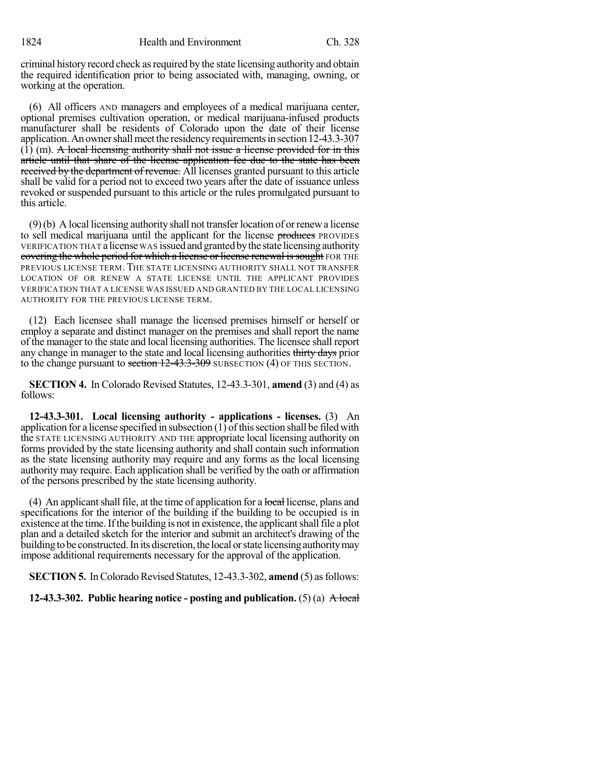criminal history record check as required by the state licensing authority and obtain the required identification prior to being associated with, managing, owning, or working at the operation.

(6) All officers AND managers and employees of a medical marijuana center, optional premises cultivation operation, or medical marijuana-infused products manufacturer shall be residents of Colorado upon the date of their license application. An owner shall meet the residency requirements in section 12-43.3-307  $(1)$  (m). A local licensing authority shall not issue a license provided for in this article until that share of the license application fee due to the state has been received by the department of revenue. All licenses granted pursuant to this article shall be valid for a period not to exceed two years after the date of issuance unless revoked or suspended pursuant to this article or the rules promulgated pursuant to this article.

(9)(b) A local licensing authority shall not transferlocation of orrenewa license to sell medical marijuana until the applicant for the license produces PROVIDES VERIFICATION THAT a license WAS issued and grantedbythe state licensingauthority covering the whole period for which a license or license renewal is sought FOR THE PREVIOUS LICENSE TERM. THE STATE LICENSING AUTHORITY SHALL NOT TRANSFER LOCATION OF OR RENEW A STATE LICENSE UNTIL THE APPLICANT PROVIDES VERIFICATION THAT A LICENSE WAS ISSUED AND GRANTED BY THE LOCAL LICENSING AUTHORITY FOR THE PREVIOUS LICENSE TERM.

(12) Each licensee shall manage the licensed premises himself or herself or employ a separate and distinct manager on the premises and shall report the name of the manager to the state and local licensing authorities. The licensee shall report any change in manager to the state and local licensing authorities thirty days prior to the change pursuant to section 12-43.3-309 SUBSECTION (4) OF THIS SECTION.

**SECTION 4.** In Colorado Revised Statutes, 12-43.3-301, **amend** (3) and (4) as follows:

**12-43.3-301. Local licensing authority - applications - licenses.** (3) An application for a license specified in subsection (1) ofthissection shall be filed with the STATE LICENSING AUTHORITY AND THE appropriate local licensing authority on forms provided by the state licensing authority and shall contain such information as the state licensing authority may require and any forms as the local licensing authority may require. Each application shall be verified by the oath or affirmation of the persons prescribed by the state licensing authority.

(4) An applicant shall file, at the time of application for a local license, plans and specifications for the interior of the building if the building to be occupied is in existence at the time. If the building is not in existence, the applicant shall file a plot plan and a detailed sketch for the interior and submit an architect's drawing of the building to be constructed. In its discretion, the local or state licensing authority may impose additional requirements necessary for the approval of the application.

**SECTION 5.** In Colorado Revised Statutes, 12-43.3-302, **amend** (5) as follows:

**12-43.3-302. Public hearing notice - posting and publication.** (5) (a) A local